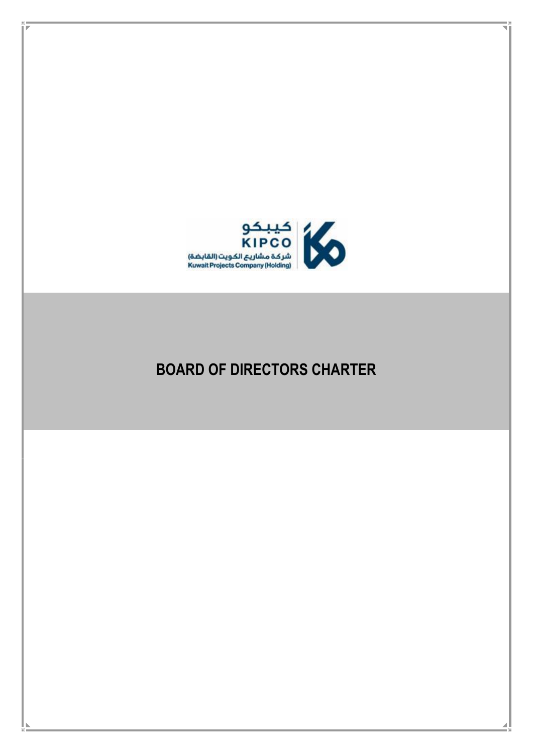

# **BOARD OF DIRECTORS CHARTER**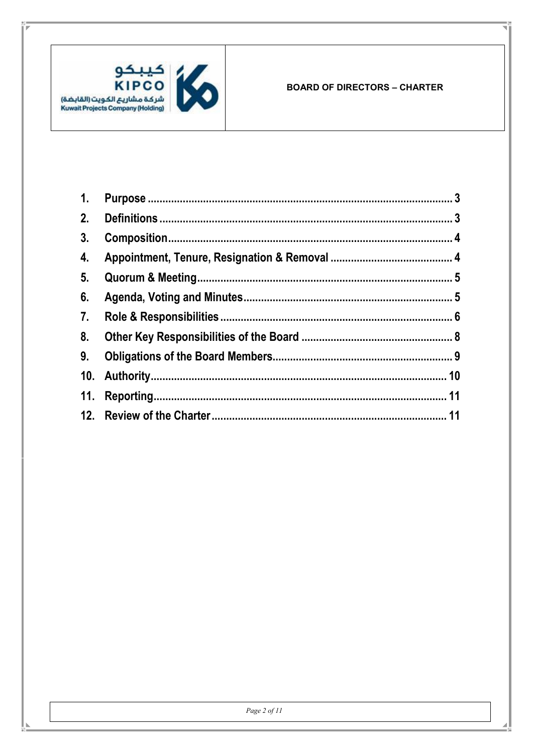

| $\mathbf{1}$ . |  |
|----------------|--|
| 2.             |  |
| 3.             |  |
| 4.             |  |
| 5 <sub>1</sub> |  |
| 6.             |  |
| 7.             |  |
| 8.             |  |
| 9.             |  |
|                |  |
|                |  |
|                |  |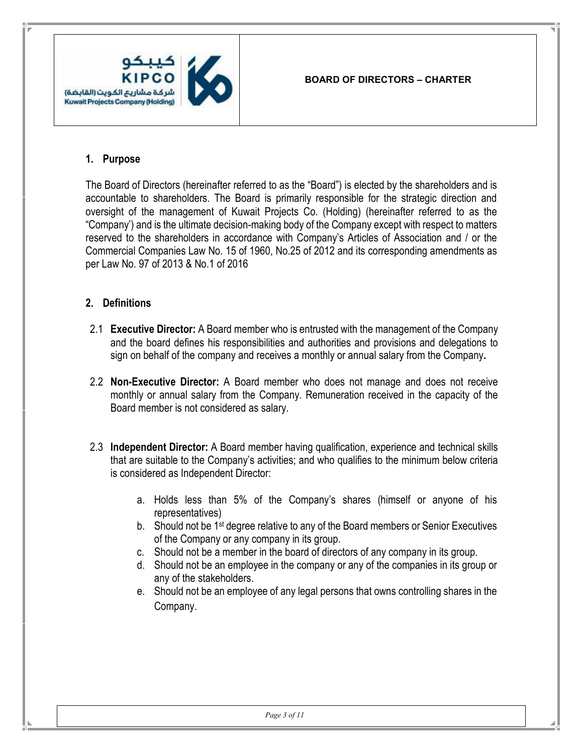

#### **1. Purpose**

<span id="page-2-0"></span>The Board of Directors (hereinafter referred to as the "Board") is elected by the shareholders and is accountable to shareholders. The Board is primarily responsible for the strategic direction and oversight of the management of Kuwait Projects Co. (Holding) (hereinafter referred to as the "Company') and is the ultimate decision-making body of the Company except with respect to matters reserved to the shareholders in accordance with Company's Articles of Association and / or the Commercial Companies Law No. 15 of 1960, No.25 of 2012 and its corresponding amendments as per Law No. 97 of 2013 & No.1 of 2016

#### **2. Definitions**

- <span id="page-2-1"></span>2.1 **Executive Director:** A Board member who is entrusted with the management of the Company and the board defines his responsibilities and authorities and provisions and delegations to sign on behalf of the company and receives a monthly or annual salary from the Company**.**
- 2.2 **Non-Executive Director:** A Board member who does not manage and does not receive monthly or annual salary from the Company. Remuneration received in the capacity of the Board member is not considered as salary.
- 2.3 **Independent Director:** A Board member having qualification, experience and technical skills that are suitable to the Company's activities; and who qualifies to the minimum below criteria is considered as Independent Director:
	- a. Holds less than 5% of the Company's shares (himself or anyone of his representatives)
	- b. Should not be 1st degree relative to any of the Board members or Senior Executives of the Company or any company in its group.
	- c. Should not be a member in the board of directors of any company in its group.
	- d. Should not be an employee in the company or any of the companies in its group or any of the stakeholders.
	- e. Should not be an employee of any legal persons that owns controlling shares in the Company.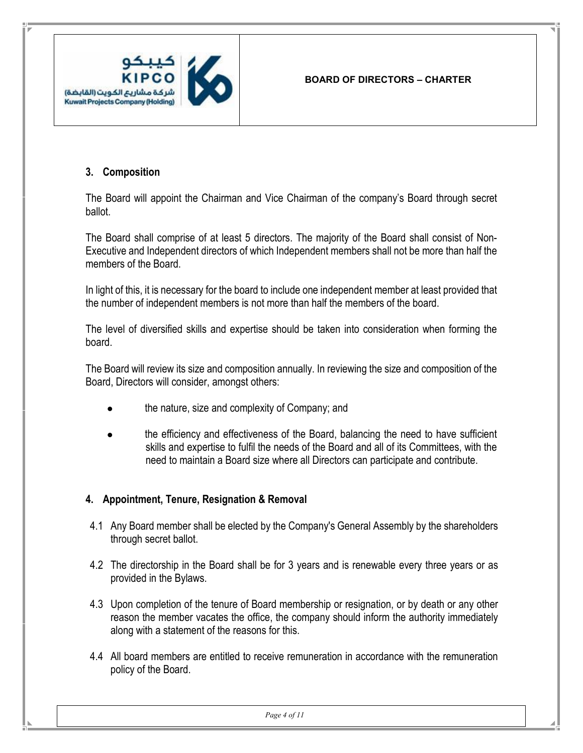

# **3. Composition**

The Board will appoint the Chairman and Vice Chairman of the company's Board through secret ballot.

<span id="page-3-0"></span>The Board shall comprise of at least 5 directors. The majority of the Board shall consist of Non-Executive and Independent directors of which Independent members shall not be more than half the members of the Board.

In light of this, it is necessary for the board to include one independent member at least provided that the number of independent members is not more than half the members of the board.

The level of diversified skills and expertise should be taken into consideration when forming the board.

The Board will review its size and composition annually. In reviewing the size and composition of the Board, Directors will consider, amongst others:

- the nature, size and complexity of Company; and
- the efficiency and effectiveness of the Board, balancing the need to have sufficient skills and expertise to fulfil the needs of the Board and all of its Committees, with the need to maintain a Board size where all Directors can participate and contribute.

## **4. Appointment, Tenure, Resignation & Removal**

- <span id="page-3-1"></span>4.1 Any Board member shall be elected by the Company's General Assembly by the shareholders through secret ballot.
- 4.2 The directorship in the Board shall be for 3 years and is renewable every three years or as provided in the Bylaws.
- 4.3 Upon completion of the tenure of Board membership or resignation, or by death or any other reason the member vacates the office, the company should inform the authority immediately along with a statement of the reasons for this.
- 4.4 All board members are entitled to receive remuneration in accordance with the remuneration policy of the Board.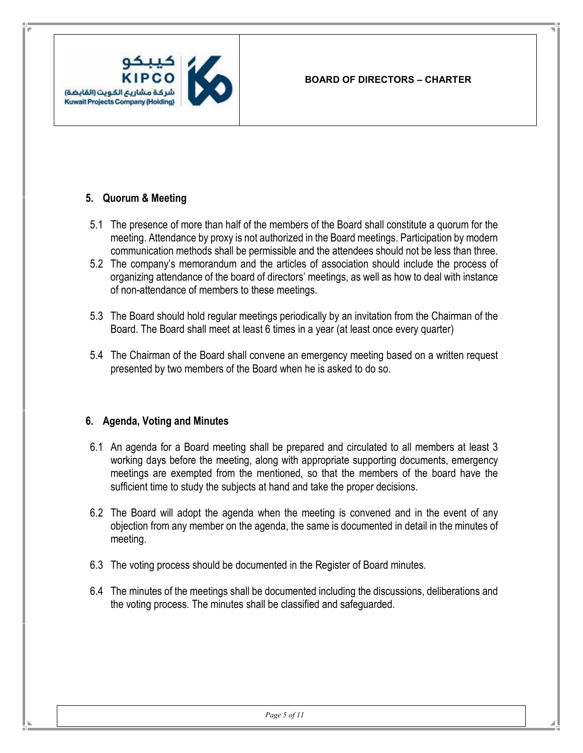# **5. Quorum & Meeting**

- 5.1 The presence of more than half of the members of the Board shall constitute a quorum for the meeting. Attendance by proxy is not authorized in the Board meetings. Participation by modern communication methods shall be permissible and the attendees should not be less than three.
- <span id="page-4-0"></span>5.2 The company's memorandum and the articles of association should include the process of organizing attendance of the board of directors' meetings, as well as how to deal with instance of non-attendance of members to these meetings.
- 5.3 The Board should hold regular meetings periodically by an invitation from the Chairman of the Board. The Board shall meet at least 6 times in a year (at least once every quarter)
- 5.4 The Chairman of the Board shall convene an emergency meeting based on a written request presented by two members of the Board when he is asked to do so.

## **6. Agenda, Voting and Minutes**

- <span id="page-4-1"></span>6.1 An agenda for a Board meeting shall be prepared and circulated to all members at least 3 working days before the meeting, along with appropriate supporting documents, emergency meetings are exempted from the mentioned, so that the members of the board have the sufficient time to study the subjects at hand and take the proper decisions.
- 6.2 The Board will adopt the agenda when the meeting is convened and in the event of any objection from any member on the agenda, the same is documented in detail in the minutes of meeting.
- 6.3 The voting process should be documented in the Register of Board minutes.
- 6.4 The minutes of the meetings shall be documented including the discussions, deliberations and the voting process. The minutes shall be classified and safeguarded.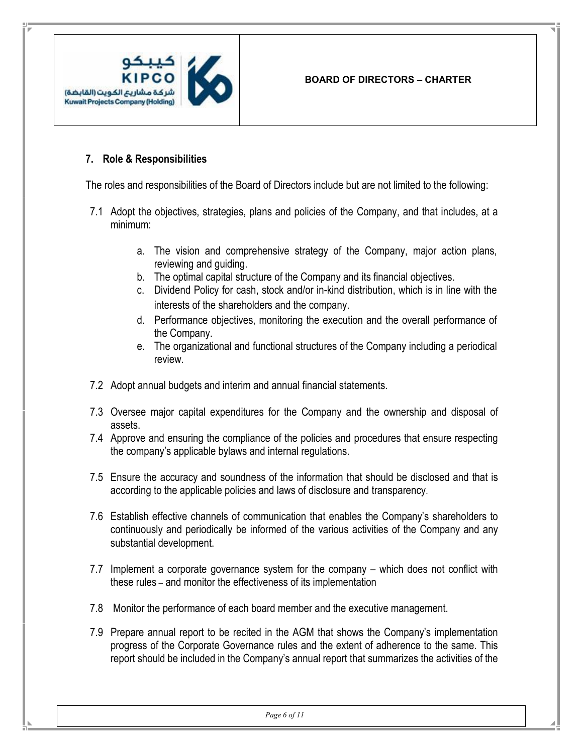

#### **7. Role & Responsibilities**

The roles and responsibilities of the Board of Directors include but are not limited to the following:

- <span id="page-5-0"></span>7.1 Adopt the objectives, strategies, plans and policies of the Company, and that includes, at a minimum:
	- a. The vision and comprehensive strategy of the Company, major action plans, reviewing and guiding.
	- b. The optimal capital structure of the Company and its financial objectives.
	- c. Dividend Policy for cash, stock and/or in-kind distribution, which is in line with the interests of the shareholders and the company.
	- d. Performance objectives, monitoring the execution and the overall performance of the Company.
	- e. The organizational and functional structures of the Company including a periodical review.
- 7.2 Adopt annual budgets and interim and annual financial statements.
- 7.3 Oversee major capital expenditures for the Company and the ownership and disposal of assets.
- 7.4 Approve and ensuring the compliance of the policies and procedures that ensure respecting the company's applicable bylaws and internal regulations.
- 7.5 Ensure the accuracy and soundness of the information that should be disclosed and that is according to the applicable policies and laws of disclosure and transparency.
- 7.6 Establish effective channels of communication that enables the Company's shareholders to continuously and periodically be informed of the various activities of the Company and any substantial development.
- 7.7 Implement a corporate governance system for the company which does not conflict with these rules – and monitor the effectiveness of its implementation
- 7.8 Monitor the performance of each board member and the executive management.
- 7.9 Prepare annual report to be recited in the AGM that shows the Company's implementation progress of the Corporate Governance rules and the extent of adherence to the same. This report should be included in the Company's annual report that summarizes the activities of the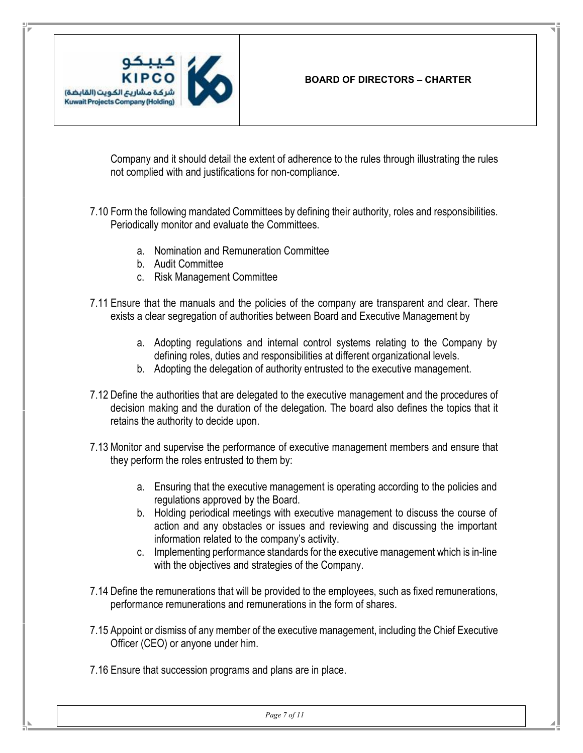

Company and it should detail the extent of adherence to the rules through illustrating the rules not complied with and justifications for non-compliance.

7.10 Form the following mandated Committees by defining their authority, roles and responsibilities. Periodically monitor and evaluate the Committees.

- a. Nomination and Remuneration Committee
- b. Audit Committee
- c. Risk Management Committee
- 7.11 Ensure that the manuals and the policies of the company are transparent and clear. There exists a clear segregation of authorities between Board and Executive Management by
	- a. Adopting regulations and internal control systems relating to the Company by defining roles, duties and responsibilities at different organizational levels.
	- b. Adopting the delegation of authority entrusted to the executive management.
- 7.12 Define the authorities that are delegated to the executive management and the procedures of decision making and the duration of the delegation. The board also defines the topics that it retains the authority to decide upon.
- 7.13 Monitor and supervise the performance of executive management members and ensure that they perform the roles entrusted to them by:
	- a. Ensuring that the executive management is operating according to the policies and regulations approved by the Board.
	- b. Holding periodical meetings with executive management to discuss the course of action and any obstacles or issues and reviewing and discussing the important information related to the company's activity.
	- c. Implementing performance standards for the executive management which is in-line with the objectives and strategies of the Company.
- 7.14 Define the remunerations that will be provided to the employees, such as fixed remunerations, performance remunerations and remunerations in the form of shares.
- 7.15 Appoint or dismiss of any member of the executive management, including the Chief Executive Officer (CEO) or anyone under him.
- 7.16 Ensure that succession programs and plans are in place.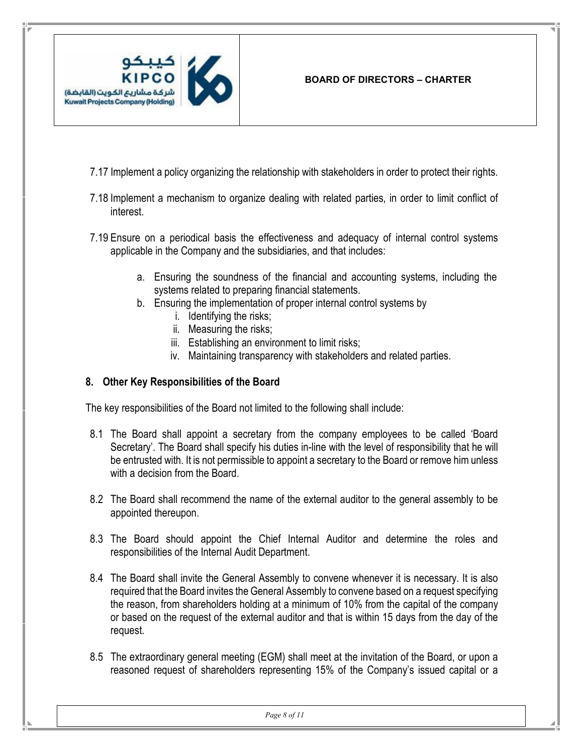

- 7.17 Implement a policy organizing the relationship with stakeholders in order to protect their rights.
- 7.18 Implement a mechanism to organize dealing with related parties, in order to limit conflict of interest.
- 7.19 Ensure on a periodical basis the effectiveness and adequacy of internal control systems applicable in the Company and the subsidiaries, and that includes:
	- a. Ensuring the soundness of the financial and accounting systems, including the systems related to preparing financial statements.
	- b. Ensuring the implementation of proper internal control systems by
		- i. Identifying the risks;
		- ii. Measuring the risks;
		- iii. Establishing an environment to limit risks;
		- iv. Maintaining transparency with stakeholders and related parties.

#### **8. Other Key Responsibilities of the Board**

The key responsibilities of the Board not limited to the following shall include:

- <span id="page-7-0"></span>8.1 The Board shall appoint a secretary from the company employees to be called 'Board Secretary'. The Board shall specify his duties in-line with the level of responsibility that he will be entrusted with. It is not permissible to appoint a secretary to the Board or remove him unless with a decision from the Board.
- 8.2 The Board shall recommend the name of the external auditor to the general assembly to be appointed thereupon.
- 8.3 The Board should appoint the Chief Internal Auditor and determine the roles and responsibilities of the Internal Audit Department.
- 8.4 The Board shall invite the General Assembly to convene whenever it is necessary. It is also required that the Board invites the General Assembly to convene based on a request specifying the reason, from shareholders holding at a minimum of 10% from the capital of the company or based on the request of the external auditor and that is within 15 days from the day of the request.
- 8.5 The extraordinary general meeting (EGM) shall meet at the invitation of the Board, or upon a reasoned request of shareholders representing 15% of the Company's issued capital or a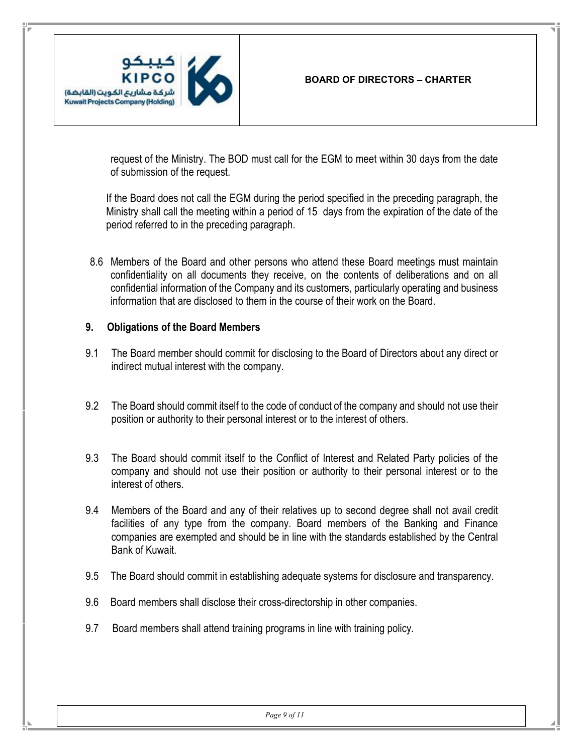

request of the Ministry. The BOD must call for the EGM to meet within 30 days from the date of submission of the request.

If the Board does not call the EGM during the period specified in the preceding paragraph, the Ministry shall call the meeting within a period of 15 days from the expiration of the date of the period referred to in the preceding paragraph.

8.6 Members of the Board and other persons who attend these Board meetings must maintain confidentiality on all documents they receive, on the contents of deliberations and on all confidential information of the Company and its customers, particularly operating and business information that are disclosed to them in the course of their work on the Board.

#### **9. Obligations of the Board Members**

- <span id="page-8-0"></span>9.1 The Board member should commit for disclosing to the Board of Directors about any direct or indirect mutual interest with the company.
- 9.2 The Board should commit itself to the code of conduct of the company and should not use their position or authority to their personal interest or to the interest of others.
- 9.3 The Board should commit itself to the Conflict of Interest and Related Party policies of the company and should not use their position or authority to their personal interest or to the interest of others.
- 9.4 Members of the Board and any of their relatives up to second degree shall not avail credit facilities of any type from the company. Board members of the Banking and Finance companies are exempted and should be in line with the standards established by the Central Bank of Kuwait.
- 9.5 The Board should commit in establishing adequate systems for disclosure and transparency.
- 9.6 Board members shall disclose their cross-directorship in other companies.
- 9.7 Board members shall attend training programs in line with training policy.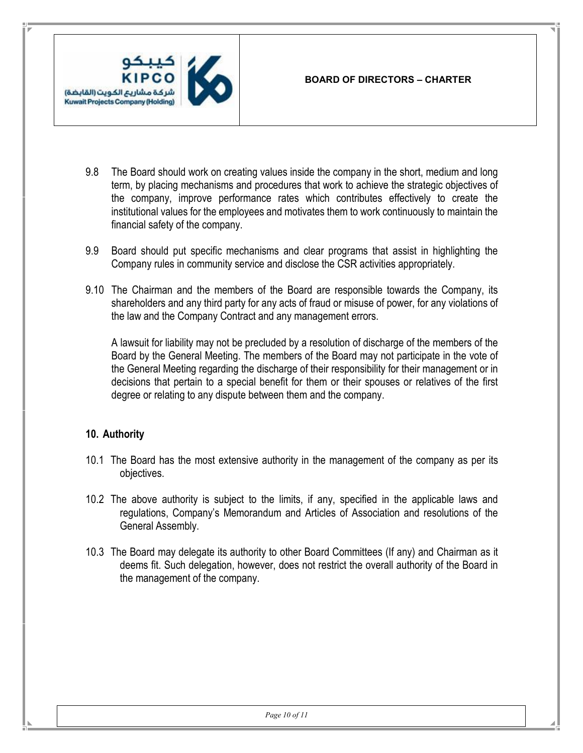

- 9.8 The Board should work on creating values inside the company in the short, medium and long term, by placing mechanisms and procedures that work to achieve the strategic objectives of the company, improve performance rates which contributes effectively to create the institutional values for the employees and motivates them to work continuously to maintain the financial safety of the company.
- 9.9 Board should put specific mechanisms and clear programs that assist in highlighting the Company rules in community service and disclose the CSR activities appropriately.
- 9.10 The Chairman and the members of the Board are responsible towards the Company, its shareholders and any third party for any acts of fraud or misuse of power, for any violations of the law and the Company Contract and any management errors.

A lawsuit for liability may not be precluded by a resolution of discharge of the members of the Board by the General Meeting. The members of the Board may not participate in the vote of the General Meeting regarding the discharge of their responsibility for their management or in decisions that pertain to a special benefit for them or their spouses or relatives of the first degree or relating to any dispute between them and the company.

## **10. Authority**

- 10.1 The Board has the most extensive authority in the management of the company as per its objectives.
- <span id="page-9-0"></span>10.2 The above authority is subject to the limits, if any, specified in the applicable laws and regulations, Company's Memorandum and Articles of Association and resolutions of the General Assembly.
- 10.3 The Board may delegate its authority to other Board Committees (If any) and Chairman as it deems fit. Such delegation, however, does not restrict the overall authority of the Board in the management of the company.